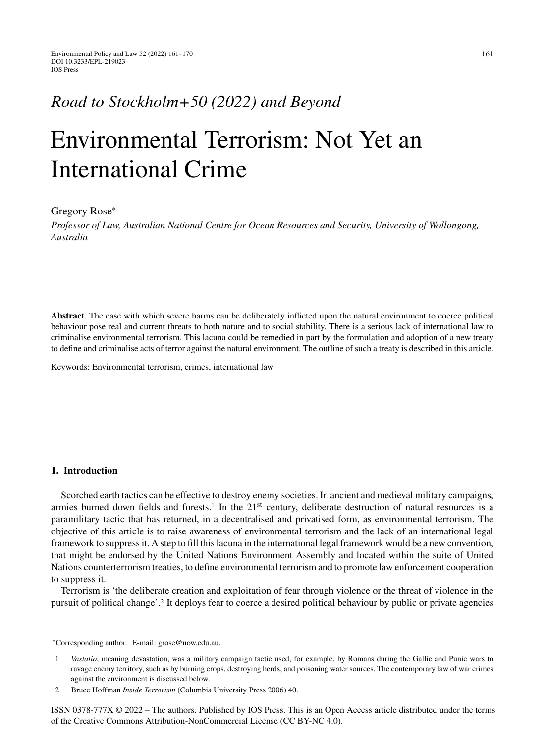# *Road to Stockholm+50 (2022) and Beyond*

# Environmental Terrorism: Not Yet an International Crime

## Gregory Rose<sup>∗</sup>

*Professor of Law, Australian National Centre for Ocean Resources and Security, University of Wollongong, Australia*

**Abstract**. The ease with which severe harms can be deliberately inflicted upon the natural environment to coerce political behaviour pose real and current threats to both nature and to social stability. There is a serious lack of international law to criminalise environmental terrorism. This lacuna could be remedied in part by the formulation and adoption of a new treaty to define and criminalise acts of terror against the natural environment. The outline of such a treaty is described in this article.

Keywords: Environmental terrorism, crimes, international law

#### **1. Introduction**

Scorched earth tactics can be effective to destroy enemy societies. In ancient and medieval military campaigns, armies burned down fields and forests.<sup>1</sup> In the  $21<sup>st</sup>$  century, deliberate destruction of natural resources is a paramilitary tactic that has returned, in a decentralised and privatised form, as environmental terrorism. The objective of this article is to raise awareness of environmental terrorism and the lack of an international legal framework to suppress it. A step to fill this lacuna in the international legal framework would be a new convention, that might be endorsed by the United Nations Environment Assembly and located within the suite of United Nations counterterrorism treaties, to define environmental terrorism and to promote law enforcement cooperation to suppress it.

Terrorism is 'the deliberate creation and exploitation of fear through violence or the threat of violence in the pursuit of political change'.2 It deploys fear to coerce a desired political behaviour by public or private agencies

∗Corresponding author. E-mail: [grose@uow.edu.au.](mailto:grose@uow.edu.au)

1 *Vastatio*, meaning devastation, was a military campaign tactic used, for example, by Romans during the Gallic and Punic wars to ravage enemy territory, such as by burning crops, destroying herds, and poisoning water sources. The contemporary law of war crimes against the environment is discussed below.

2 Bruce Hoffman *Inside Terrorism* (Columbia University Press 2006) 40.

ISSN 0378-777X © 2022 – The authors. Published by IOS Press. This is an Open Access article distributed under the terms of the [Creative Commons Attribution-NonCommercial License \(CC BY-NC 4.0\).](https://creativecommons.org/licenses/by-nc/4.0/)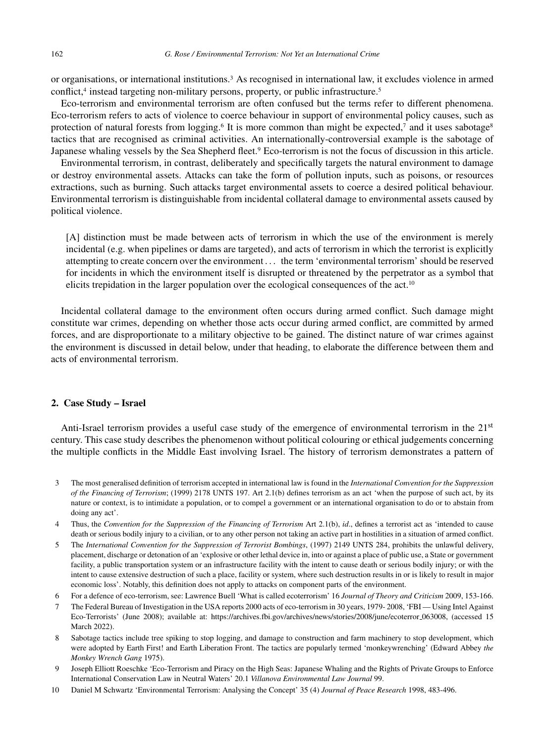or organisations, or international institutions.3 As recognised in international law, it excludes violence in armed conflict,<sup>4</sup> instead targeting non-military persons, property, or public infrastructure.<sup>5</sup>

Eco-terrorism and environmental terrorism are often confused but the terms refer to different phenomena. Eco-terrorism refers to acts of violence to coerce behaviour in support of environmental policy causes, such as protection of natural forests from logging.<sup>6</sup> It is more common than might be expected,<sup>7</sup> and it uses sabotage<sup>8</sup> tactics that are recognised as criminal activities. An internationally-controversial example is the sabotage of Japanese whaling vessels by the Sea Shepherd fleet.<sup>9</sup> Eco-terrorism is not the focus of discussion in this article.

Environmental terrorism, in contrast, deliberately and specifically targets the natural environment to damage or destroy environmental assets. Attacks can take the form of pollution inputs, such as poisons, or resources extractions, such as burning. Such attacks target environmental assets to coerce a desired political behaviour. Environmental terrorism is distinguishable from incidental collateral damage to environmental assets caused by political violence.

[A] distinction must be made between acts of terrorism in which the use of the environment is merely incidental (e.g. when pipelines or dams are targeted), and acts of terrorism in which the terrorist is explicitly attempting to create concern over the environment . . . the term 'environmental terrorism' should be reserved for incidents in which the environment itself is disrupted or threatened by the perpetrator as a symbol that elicits trepidation in the larger population over the ecological consequences of the act.10

Incidental collateral damage to the environment often occurs during armed conflict. Such damage might constitute war crimes, depending on whether those acts occur during armed conflict, are committed by armed forces, and are disproportionate to a military objective to be gained. The distinct nature of war crimes against the environment is discussed in detail below, under that heading, to elaborate the difference between them and acts of environmental terrorism.

#### **2. Case Study – Israel**

Anti-Israel terrorism provides a useful case study of the emergence of environmental terrorism in the 21<sup>st</sup> century. This case study describes the phenomenon without political colouring or ethical judgements concerning the multiple conflicts in the Middle East involving Israel. The history of terrorism demonstrates a pattern of

- 3 The most generalised definition of terrorism accepted in international law is found in the *International Convention for the Suppression of the Financing of Terrorism*; (1999) 2178 UNTS 197. Art 2.1(b) defines terrorism as an act 'when the purpose of such act, by its nature or context, is to intimidate a population, or to compel a government or an international organisation to do or to abstain from doing any act'.
- 4 Thus, the *Convention for the Suppression of the Financing of Terrorism* Art 2.1(b), *id*., defines a terrorist act as 'intended to cause death or serious bodily injury to a civilian, or to any other person not taking an active part in hostilities in a situation of armed conflict.
- 5 The *International Convention for the Suppression of Terrorist Bombings*, (1997) 2149 UNTS 284, prohibits the unlawful delivery, placement, discharge or detonation of an 'explosive or other lethal device in, into or against a place of public use, a State or government facility, a public transportation system or an infrastructure facility with the intent to cause death or serious bodily injury; or with the intent to cause extensive destruction of such a place, facility or system, where such destruction results in or is likely to result in major economic loss'. Notably, this definition does not apply to attacks on component parts of the environment.
- 6 For a defence of eco-terrorism, see: Lawrence Buell 'What is called ecoterrorism' 16 *Journal of Theory and Criticism* 2009, 153-166.
- 7 The Federal Bureau of Investigation in the USA reports 2000 acts of eco-terrorism in 30 years, 1979- 2008, 'FBI Using Intel Against Eco-Terrorists' (June 2008); available at: [https://archives.fbi.gov/archives/news/stories/2008/june/ecoterror](https://archives.fbi.gov/archives/news/stories/2008/june/ecoterror_063008) 063008, (accessed 15 March 2022).
- 8 Sabotage tactics include tree spiking to stop logging, and damage to construction and farm machinery to stop development, which were adopted by Earth First! and Earth Liberation Front. The tactics are popularly termed 'monkeywrenching' (Edward Abbey *the Monkey Wrench Gang* 1975).
- 9 Joseph Elliott Roeschke 'Eco-Terrorism and Piracy on the High Seas: Japanese Whaling and the Rights of Private Groups to Enforce International Conservation Law in Neutral Waters' 20.1 *Villanova Environmental Law Journal* 99.
- 10 Daniel M Schwartz 'Environmental Terrorism: Analysing the Concept' 35 (4) *Journal of Peace Research* 1998, 483-496.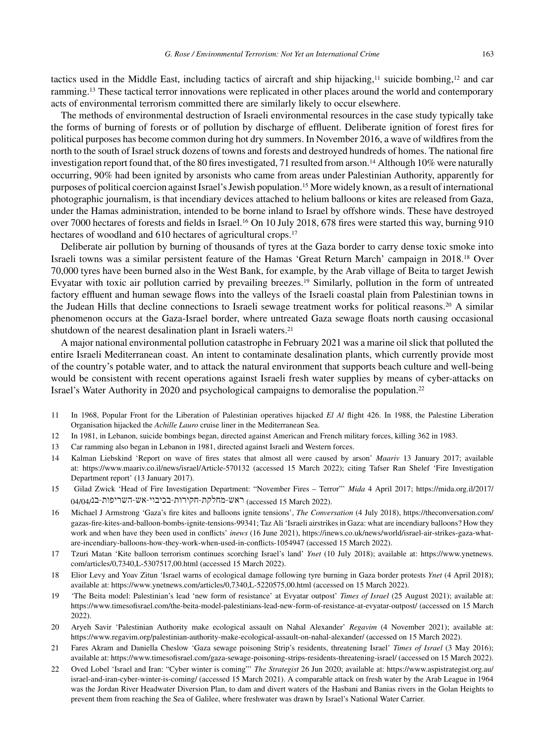tactics used in the Middle East, including tactics of aircraft and ship hijacking,<sup>11</sup> suicide bombing,<sup>12</sup> and car ramming.13 These tactical terror innovations were replicated in other places around the world and contemporary acts of environmental terrorism committed there are similarly likely to occur elsewhere.

The methods of environmental destruction of Israeli environmental resources in the case study typically take the forms of burning of forests or of pollution by discharge of effluent. Deliberate ignition of forest fires for political purposes has become common during hot dry summers. In November 2016, a wave of wildfires from the north to the south of Israel struck dozens of towns and forests and destroyed hundreds of homes. The national fire investigation report found that, of the 80 fires investigated, 71 resulted from arson.14 Although 10% were naturally occurring, 90% had been ignited by arsonists who came from areas under Palestinian Authority, apparently for purposes of political coercion against Israel's Jewish population.15 More widely known, as a result of international photographic journalism, is that incendiary devices attached to helium balloons or kites are released from Gaza, under the Hamas administration, intended to be borne inland to Israel by offshore winds. These have destroyed over 7000 hectares of forests and fields in Israel.16 On 10 July 2018, 678 fires were started this way, burning 910 hectares of woodland and 610 hectares of agricultural crops.<sup>17</sup>

Deliberate air pollution by burning of thousands of tyres at the Gaza border to carry dense toxic smoke into Israeli towns was a similar persistent feature of the Hamas 'Great Return March' campaign in 2018.18 Over 70,000 tyres have been burned also in the West Bank, for example, by the Arab village of Beita to target Jewish Evyatar with toxic air pollution carried by prevailing breezes.<sup>19</sup> Similarly, pollution in the form of untreated factory effluent and human sewage flows into the valleys of the Israeli coastal plain from Palestinian towns in the Judean Hills that decline connections to Israeli sewage treatment works for political reasons.<sup>20</sup> A similar phenomenon occurs at the Gaza-Israel border, where untreated Gaza sewage floats north causing occasional shutdown of the nearest desalination plant in Israeli waters.<sup>21</sup>

A major national environmental pollution catastrophe in February 2021 was a marine oil slick that polluted the entire Israeli Mediterranean coast. An intent to contaminate desalination plants, which currently provide most of the country's potable water, and to attack the natural environment that supports beach culture and well-being would be consistent with recent operations against Israeli fresh water supplies by means of cyber-attacks on Israel's Water Authority in 2020 and psychological campaigns to demoralise the population.22

- 11 In 1968, Popular Front for the Liberation of Palestinian operatives hijacked *El Al* flight 426. In 1988, the Palestine Liberation Organisation hijacked the *Achille Lauro* cruise liner in the Mediterranean Sea.
- 12 In 1981, in Lebanon, suicide bombings began, directed against American and French military forces, killing 362 in 1983.
- 13 Car ramming also began in Lebanon in 1981, directed against Israeli and Western forces.
- 14 Kalman Liebskind 'Report on wave of fires states that almost all were caused by arson' *Maariv* 13 January 2017; available at:<https://www.maariv.co.il/news/israel/Article-570132> (accessed 15 March 2022); citing Tafser Ran Shelef 'Fire Investigation Department report' (13 January 2017).
- 15 Gilad Zwick 'Head of Fire Investigation Department: "November Fires Terror"' *Mida* 4 April 2017; https://mida.org.il/2017/  $04/04/12$ - ראש-מחלקת-חקירות-בכיבוי-אש-השריפות-בנ $($ accessed 15 March 2022).
- 16 Michael J Armstrong 'Gaza's fire kites and balloons ignite tensions', *The Conversation* (4 July 2018), [https://theconversation.com/](https://theconversation.com/gazas-fire-kites-and-balloon-bombs-ignite-tensions-99341) gazas-fire-kites-and-balloon-bombs-ignite-tensions-99341; Taz Ali 'Israeli airstrikes in Gaza: what are incendiary balloons? How they work and when have they been used in conflicts' *inews* (16 June 2021), [https://inews.co.uk/news/world/israel-air-strikes-gaza-what](https://inews.co.uk/news/world/israel-air-strikes-gaza-what-are-incendiary-balloons-how-they-work-when-used-in-conflicts-1054947)are-incendiary-balloons-how-they-work-when-used-in-conflicts-1054947 (accessed 15 March 2022).
- 17 Tzuri Matan 'Kite balloon terrorism continues scorching Israel's land' *Ynet* (10 July 2018); available at: [https://www.ynetnews.](https://www.ynetnews.com/articles/0,7340,L-5307517,00.html) com/articles/0,7340,L-5307517,00.html (accessed 15 March 2022).
- 18 Elior Levy and Yoav Zitun 'Israel warns of ecological damage following tyre burning in Gaza border protests *Ynet* (4 April 2018); available at:<https://www.ynetnews.com/articles/0,7340,L-5220575,00.html> (accessed on 15 March 2022).
- 19 'The Beita model: Palestinian's lead 'new form of resistance' at Evyatar outpost' *Times of Israel* (25 August 2021); available at: <https://www.timesofisrael.com/the-beita-model-palestinians-lead-new-form-of-resistance-at-evyatar-outpost/> (accessed on 15 March 2022).
- 20 Aryeh Savir 'Palestinian Authority make ecological assault on Nahal Alexander' *Regavim* (4 November 2021); available at: <https://www.regavim.org/palestinian-authority-make-ecological-assault-on-nahal-alexander/> (accessed on 15 March 2022).
- 21 Fares Akram and Daniella Cheslow 'Gaza sewage poisoning Strip's residents, threatening Israel' *Times of Israel* (3 May 2016); available at:<https://www.timesofisrael.com/gaza-sewage-poisoning-strips-residents-threatening-israel/> (accessed on 15 March 2022).
- 22 Oved Lobel 'Israel and Iran: "Cyber winter is coming"' *The Strategist* 26 Jun 2020; available at: [https://www.aspistrategist.org.au/](https://www.aspistrategist.org.au/israel-and-iran-cyber-winter-is-coming/) [israel-and-iran-cyber-winter-is-coming/](https://www.aspistrategist.org.au/israel-and-iran-cyber-winter-is-coming/) (accessed 15 March 2021). A comparable attack on fresh water by the Arab League in 1964 was the Jordan River Headwater Diversion Plan, to dam and divert waters of the Hasbani and Banias rivers in the Golan Heights to prevent them from reaching the Sea of Galilee, where freshwater was drawn by Israel's National Water Carrier.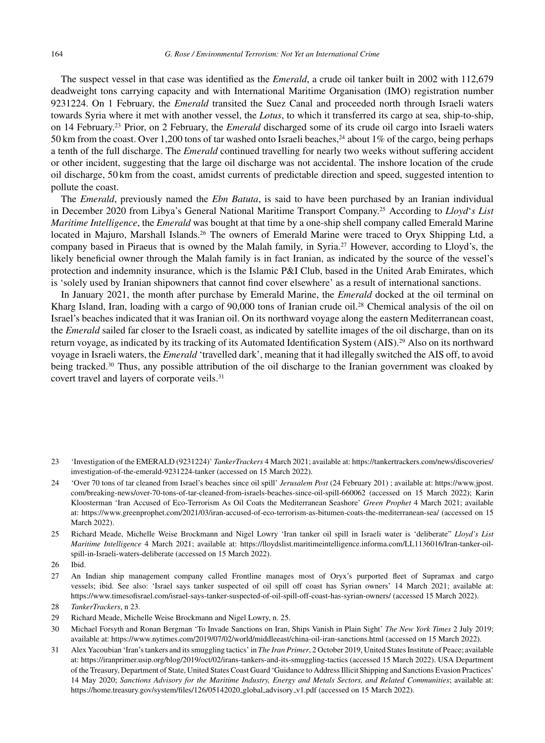The suspect vessel in that case was identified as the *Emerald*, a crude oil tanker built in 2002 with 112,679 deadweight tons carrying capacity and with International Maritime Organisation (IMO) registration number 9231224. On 1 February, the *Emerald* transited the Suez Canal and proceeded north through Israeli waters towards Syria where it met with another vessel, the *Lotus*, to which it transferred its cargo at sea, ship-to-ship, on 14 February.23 Prior, on 2 February, the *Emerald* discharged some of its crude oil cargo into Israeli waters 50 km from the coast. Over 1,200 tons of tar washed onto Israeli beaches,<sup>24</sup> about 1% of the cargo, being perhaps a tenth of the full discharge. The *Emerald* continued travelling for nearly two weeks without suffering accident or other incident, suggesting that the large oil discharge was not accidental. The inshore location of the crude oil discharge, 50 km from the coast, amidst currents of predictable direction and speed, suggested intention to pollute the coast.

The *Emerald*, previously named the *Ebn Batuta*, is said to have been purchased by an Iranian individual in December 2020 from Libya's General National Maritime Transport Company.25 According to *Lloyd*'*s List Maritime Intelligence*, the *Emerald* was bought at that time by a one-ship shell company called Emerald Marine located in Majuro, Marshall Islands.<sup>26</sup> The owners of Emerald Marine were traced to Oryx Shipping Ltd, a company based in Piraeus that is owned by the Malah family, in Syria.27 However, according to Lloyd's, the likely beneficial owner through the Malah family is in fact Iranian, as indicated by the source of the vessel's protection and indemnity insurance, which is the Islamic P&I Club, based in the United Arab Emirates, which is 'solely used by Iranian shipowners that cannot find cover elsewhere' as a result of international sanctions.

In January 2021, the month after purchase by Emerald Marine, the *Emerald* docked at the oil terminal on Kharg Island, Iran, loading with a cargo of 90,000 tons of Iranian crude oil.28 Chemical analysis of the oil on Israel's beaches indicated that it was Iranian oil. On its northward voyage along the eastern Mediterranean coast, the *Emerald* sailed far closer to the Israeli coast, as indicated by satellite images of the oil discharge, than on its return voyage, as indicated by its tracking of its Automated Identification System (AIS).29 Also on its northward voyage in Israeli waters, the *Emerald* 'travelled dark', meaning that it had illegally switched the AIS off, to avoid being tracked.<sup>30</sup> Thus, any possible attribution of the oil discharge to the Iranian government was cloaked by covert travel and layers of corporate veils.31

- 26 Ibid.
- 27 An Indian ship management company called Frontline manages most of Oryx's purported fleet of Supramax and cargo vessels; ibid. See also: 'Israel says tanker suspected of oil spill off coast has Syrian owners' 14 March 2021; available at: <https://www.timesofisrael.com/israel-says-tanker-suspected-of-oil-spill-off-coast-has-syrian-owners/> (accessed 15 March 2022).

- 29 Richard Meade, Michelle Weise Brockmann and Nigel Lowry, n. 25.
- 30 Michael Forsyth and Ronan Bergman 'To Invade Sanctions on Iran, Ships Vanish in Plain Sight' *The New York Times* 2 July 2019; available at:<https://www.nytimes.com/2019/07/02/world/middleeast/china-oil-iran-sanctions.html> (accessed on 15 March 2022).
- 31 Alex Yacoubian 'Iran's tankers and its smuggling tactics' in *The Iran Primer*, 2 October 2019, United States Institute of Peace; available at:<https://iranprimer.usip.org/blog/2019/oct/02/irans-tankers-and-its-smuggling-tactics> (accessed 15 March 2022). USA Department of the Treasury, Department of State, United States Coast Guard 'Guidance to Address Illicit Shipping and Sanctions Evasion Practices' 14 May 2020; *Sanctions Advisory for the Maritime Industry, Energy and Metals Sectors, and Related Communities*; available at: [https://home.treasury.gov/system/files/126/05142020](https://home.treasury.gov/system/files/126/05142020_global_advisory_v1.pdf) global advisory v1.pdf (accessed on 15 March 2022).

<sup>23 &#</sup>x27;Investigation of the EMERALD (9231224)' *TankerTrackers* 4 March 2021; available at: [https://tankertrackers.com/news/discoveries/](https://tankertrackers.com/news/discoveries/investigation-of-the-emerald-9231224-tanker) investigation-of-the-emerald-9231224-tanker (accessed on 15 March 2022).

<sup>24 &#</sup>x27;Over 70 tons of tar cleaned from Israel's beaches since oil spill' *Jerusalem Post* (24 February 201) ; available at: [https://www.jpost.](https://www.jpost.com/breaking-news/over-70-tons-of-tar-cleaned-from-israels-beaches-since-oil-spill-660062) com/breaking-news/over-70-tons-of-tar-cleaned-from-israels-beaches-since-oil-spill-660062 (accessed on 15 March 2022); Karin Kloosterman 'Iran Accused of Eco-Terrorism As Oil Coats the Mediterranean Seashore' *Green Prophet* 4 March 2021; available at:<https://www.greenprophet.com/2021/03/iran-accused-of-eco-terrorism-as-bitumen-coats-the-mediterranean-sea/> (accessed on 15 March 2022).

<sup>25</sup> Richard Meade, Michelle Weise Brockmann and Nigel Lowry 'Iran tanker oil spill in Israeli water is 'deliberate" *Lloyd's List Maritime Intelligence* 4 March 2021; available at: [https://lloydslist.maritimeintelligence.informa.com/LL1136016/Iran-tanker-oil](https://lloydslist.maritimeintelligence.informa.com/LL1136016/Iran-tanker-oil-spill-in-Israeli-waters-deliberate)spill-in-Israeli-waters-deliberate (accessed on 15 March 2022).

<sup>28</sup> *TankerTrackers*, n 23.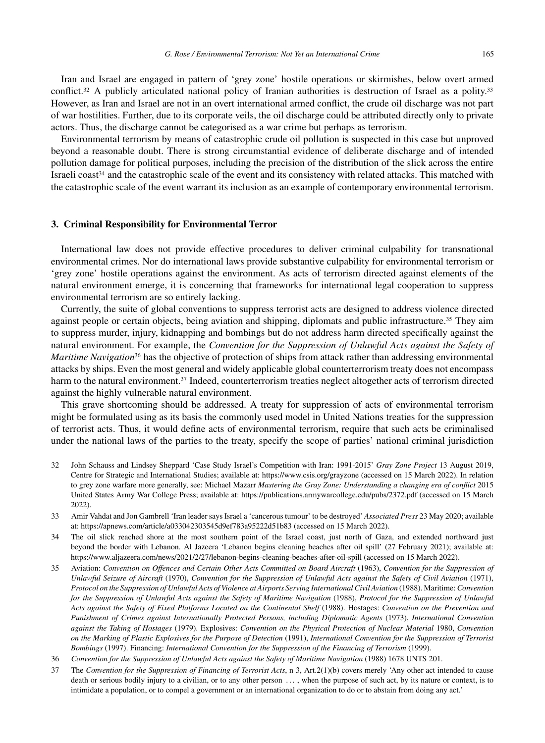Iran and Israel are engaged in pattern of 'grey zone' hostile operations or skirmishes, below overt armed conflict.<sup>32</sup> A publicly articulated national policy of Iranian authorities is destruction of Israel as a polity.<sup>33</sup> However, as Iran and Israel are not in an overt international armed conflict, the crude oil discharge was not part of war hostilities. Further, due to its corporate veils, the oil discharge could be attributed directly only to private actors. Thus, the discharge cannot be categorised as a war crime but perhaps as terrorism.

Environmental terrorism by means of catastrophic crude oil pollution is suspected in this case but unproved beyond a reasonable doubt. There is strong circumstantial evidence of deliberate discharge and of intended pollution damage for political purposes, including the precision of the distribution of the slick across the entire Israeli coast $34$  and the catastrophic scale of the event and its consistency with related attacks. This matched with the catastrophic scale of the event warrant its inclusion as an example of contemporary environmental terrorism.

#### **3. Criminal Responsibility for Environmental Terror**

International law does not provide effective procedures to deliver criminal culpability for transnational environmental crimes. Nor do international laws provide substantive culpability for environmental terrorism or 'grey zone' hostile operations against the environment. As acts of terrorism directed against elements of the natural environment emerge, it is concerning that frameworks for international legal cooperation to suppress environmental terrorism are so entirely lacking.

Currently, the suite of global conventions to suppress terrorist acts are designed to address violence directed against people or certain objects, being aviation and shipping, diplomats and public infrastructure.<sup>35</sup> They aim to suppress murder, injury, kidnapping and bombings but do not address harm directed specifically against the natural environment. For example, the *Convention for the Suppression of Unlawful Acts against the Safety of Maritime Navigation*<sup>36</sup> has the objective of protection of ships from attack rather than addressing environmental attacks by ships. Even the most general and widely applicable global counterterrorism treaty does not encompass harm to the natural environment.<sup>37</sup> Indeed, counterterrorism treaties neglect altogether acts of terrorism directed against the highly vulnerable natural environment.

This grave shortcoming should be addressed. A treaty for suppression of acts of environmental terrorism might be formulated using as its basis the commonly used model in United Nations treaties for the suppression of terrorist acts. Thus, it would define acts of environmental terrorism, require that such acts be criminalised under the national laws of the parties to the treaty, specify the scope of parties' national criminal jurisdiction

- 32 John Schauss and Lindsey Sheppard 'Case Study Israel's Competition with Iran: 1991-2015' *Gray Zone Project* 13 August 2019, Centre for Strategic and International Studies; available at:<https://www.csis.org/grayzone> (accessed on 15 March 2022). In relation to grey zone warfare more generally, see: Michael Mazarr *Mastering the Gray Zone: Understanding a changing era of conflict* 2015 United States Army War College Press; available at:<https://publications.armywarcollege.edu/pubs/2372.pdf> (accessed on 15 March 2022).
- 33 Amir Vahdat and Jon Gambrell 'Iran leader says Israel a 'cancerous tumour' to be destroyed' *Associated Press* 23 May 2020; available at:<https://apnews.com/article/a033042303545d9ef783a95222d51b83> (accessed on 15 March 2022).
- 34 The oil slick reached shore at the most southern point of the Israel coast, just north of Gaza, and extended northward just beyond the border with Lebanon. Al Jazeera 'Lebanon begins cleaning beaches after oil spill' (27 February 2021); available at: <https://www.aljazeera.com/news/2021/2/27/lebanon-begins-cleaning-beaches-after-oil-spill> (accessed on 15 March 2022).
- 35 Aviation: *Convention on Offences and Certain Other Acts Committed on Board Aircraft* (1963), *Convention for the Suppression of Unlawful Seizure of Aircraft* (1970), *Convention for the Suppression of Unlawful Acts against the Safety of Civil Aviation* (1971), *Protocol on the Suppression of Unlawful Acts of Violence at Airports Serving International Civil Aviation* (1988). Maritime:*Convention for the Suppression of Unlawful Acts against the Safety of Maritime Navigation* (1988), *Protocol for the Suppression of Unlawful Acts against the Safety of Fixed Platforms Located on the Continental Shelf* (1988). Hostages: *Convention on the Prevention and Punishment of Crimes against Internationally Protected Persons, including Diplomatic Agents* (1973), *International Convention against the Taking of Hostages* (1979). Explosives: *Convention on the Physical Protection of Nuclear Material* 1980, *Convention on the Marking of Plastic Explosives for the Purpose of Detection* (1991), *International Convention for the Suppression of Terrorist Bombings* (1997). Financing: *International Convention for the Suppression of the Financing of Terrorism* (1999).
- 36 *Convention for the Suppression of Unlawful Acts against the Safety of Maritime Navigation* (1988) 1678 UNTS 201.
- 37 The *Convention for the Suppression of Financing of Terrorist Acts*, n 3, Art.2(1)(b) covers merely 'Any other act intended to cause death or serious bodily injury to a civilian, or to any other person . . . , when the purpose of such act, by its nature or context, is to intimidate a population, or to compel a government or an international organization to do or to abstain from doing any act.'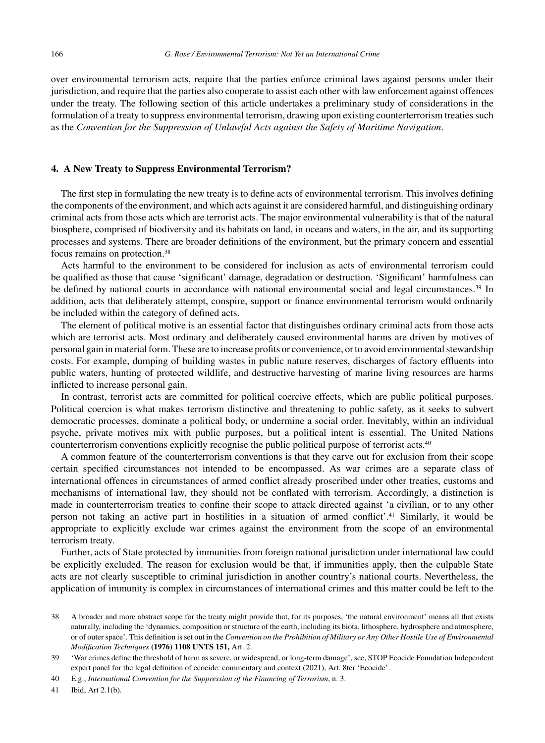over environmental terrorism acts, require that the parties enforce criminal laws against persons under their jurisdiction, and require that the parties also cooperate to assist each other with law enforcement against offences under the treaty. The following section of this article undertakes a preliminary study of considerations in the formulation of a treaty to suppress environmental terrorism, drawing upon existing counterterrorism treaties such as the *Convention for the Suppression of Unlawful Acts against the Safety of Maritime Navigation*.

#### **4. A New Treaty to Suppress Environmental Terrorism?**

The first step in formulating the new treaty is to define acts of environmental terrorism. This involves defining the components of the environment, and which acts against it are considered harmful, and distinguishing ordinary criminal acts from those acts which are terrorist acts. The major environmental vulnerability is that of the natural biosphere, comprised of biodiversity and its habitats on land, in oceans and waters, in the air, and its supporting processes and systems. There are broader definitions of the environment, but the primary concern and essential focus remains on protection.38

Acts harmful to the environment to be considered for inclusion as acts of environmental terrorism could be qualified as those that cause 'significant' damage, degradation or destruction. 'Significant' harmfulness can be defined by national courts in accordance with national environmental social and legal circumstances.<sup>39</sup> In addition, acts that deliberately attempt, conspire, support or finance environmental terrorism would ordinarily be included within the category of defined acts.

The element of political motive is an essential factor that distinguishes ordinary criminal acts from those acts which are terrorist acts. Most ordinary and deliberately caused environmental harms are driven by motives of personal gain in material form. These are to increase profits or convenience, or to avoid environmental stewardship costs. For example, dumping of building wastes in public nature reserves, discharges of factory effluents into public waters, hunting of protected wildlife, and destructive harvesting of marine living resources are harms inflicted to increase personal gain.

In contrast, terrorist acts are committed for political coercive effects, which are public political purposes. Political coercion is what makes terrorism distinctive and threatening to public safety, as it seeks to subvert democratic processes, dominate a political body, or undermine a social order. Inevitably, within an individual psyche, private motives mix with public purposes, but a political intent is essential. The United Nations counterterrorism conventions explicitly recognise the public political purpose of terrorist acts.40

A common feature of the counterterrorism conventions is that they carve out for exclusion from their scope certain specified circumstances not intended to be encompassed. As war crimes are a separate class of international offences in circumstances of armed conflict already proscribed under other treaties, customs and mechanisms of international law, they should not be conflated with terrorism. Accordingly, a distinction is made in counterterrorism treaties to confine their scope to attack directed against 'a civilian, or to any other person not taking an active part in hostilities in a situation of armed conflict'.41 Similarly, it would be appropriate to explicitly exclude war crimes against the environment from the scope of an environmental terrorism treaty.

Further, acts of State protected by immunities from foreign national jurisdiction under international law could be explicitly excluded. The reason for exclusion would be that, if immunities apply, then the culpable State acts are not clearly susceptible to criminal jurisdiction in another country's national courts. Nevertheless, the application of immunity is complex in circumstances of international crimes and this matter could be left to the

<sup>38</sup> A broader and more abstract scope for the treaty might provide that, for its purposes, 'the natural environment' means all that exists naturally, including the 'dynamics, composition or structure of the earth, including its biota, lithosphere, hydrosphere and atmosphere, or of outer space'. This definition is set out in the *Convention on the Prohibition of Military or Any Other Hostile Use of Environmental Modification Techniques* **(1976) 1108 UNTS 151,** Art. 2.

<sup>39 &#</sup>x27;War crimes define the threshold of harm as severe, or widespread, or long-term damage', see, STOP Ecocide Foundation Independent expert panel for the legal definition of ecocide: commentary and context (2021), Art. 8ter 'Ecocide'.

<sup>40</sup> E.g., *International Convention for the Suppression of the Financing of Terrorism*, n. 3.

<sup>41</sup> Ibid, Art 2.1(b).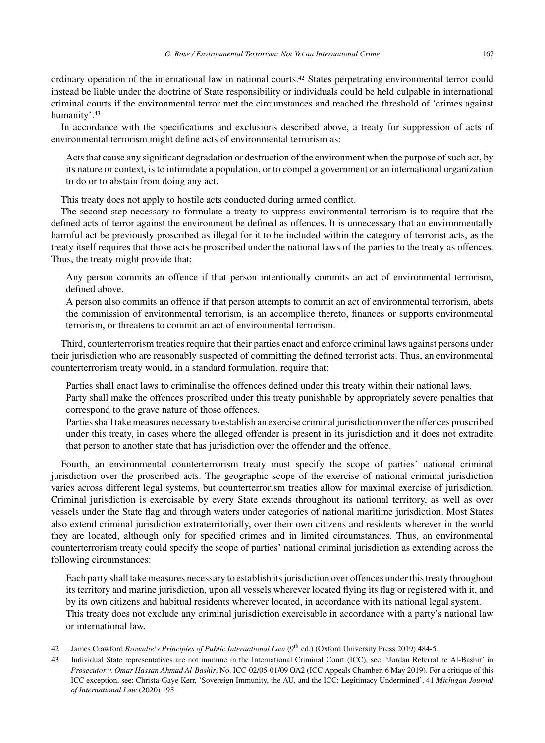ordinary operation of the international law in national courts.42 States perpetrating environmental terror could instead be liable under the doctrine of State responsibility or individuals could be held culpable in international criminal courts if the environmental terror met the circumstances and reached the threshold of 'crimes against humanity'.43

In accordance with the specifications and exclusions described above, a treaty for suppression of acts of environmental terrorism might define acts of environmental terrorism as:

Acts that cause any significant degradation or destruction of the environment when the purpose of such act, by its nature or context, is to intimidate a population, or to compel a government or an international organization to do or to abstain from doing any act.

This treaty does not apply to hostile acts conducted during armed conflict.

The second step necessary to formulate a treaty to suppress environmental terrorism is to require that the defined acts of terror against the environment be defined as offences. It is unnecessary that an environmentally harmful act be previously proscribed as illegal for it to be included within the category of terrorist acts, as the treaty itself requires that those acts be proscribed under the national laws of the parties to the treaty as offences. Thus, the treaty might provide that:

Any person commits an offence if that person intentionally commits an act of environmental terrorism, defined above.

A person also commits an offence if that person attempts to commit an act of environmental terrorism, abets the commission of environmental terrorism, is an accomplice thereto, finances or supports environmental terrorism, or threatens to commit an act of environmental terrorism.

Third, counterterrorism treaties require that their parties enact and enforce criminal laws against persons under their jurisdiction who are reasonably suspected of committing the defined terrorist acts. Thus, an environmental counterterrorism treaty would, in a standard formulation, require that:

Parties shall enact laws to criminalise the offences defined under this treaty within their national laws.

Party shall make the offences proscribed under this treaty punishable by appropriately severe penalties that correspond to the grave nature of those offences.

Parties shall take measures necessary to establish an exercise criminal jurisdiction over the offences proscribed under this treaty, in cases where the alleged offender is present in its jurisdiction and it does not extradite that person to another state that has jurisdiction over the offender and the offence.

Fourth, an environmental counterterrorism treaty must specify the scope of parties' national criminal jurisdiction over the proscribed acts. The geographic scope of the exercise of national criminal jurisdiction varies across different legal systems, but counterterrorism treaties allow for maximal exercise of jurisdiction. Criminal jurisdiction is exercisable by every State extends throughout its national territory, as well as over vessels under the State flag and through waters under categories of national maritime jurisdiction. Most States also extend criminal jurisdiction extraterritorially, over their own citizens and residents wherever in the world they are located, although only for specified crimes and in limited circumstances. Thus, an environmental counterterrorism treaty could specify the scope of parties' national criminal jurisdiction as extending across the following circumstances:

Each party shall take measures necessary to establish its jurisdiction over offences under this treaty throughout its territory and marine jurisdiction, upon all vessels wherever located flying its flag or registered with it, and by its own citizens and habitual residents wherever located, in accordance with its national legal system. This treaty does not exclude any criminal jurisdiction exercisable in accordance with a party's national law or international law.

42 James Crawford *Brownlie's Principles of Public International Law* (9th ed.) (Oxford University Press 2019) 484-5.

<sup>43</sup> Individual State representatives are not immune in the International Criminal Court (ICC), see: 'Jordan Referral re Al-Bashir' in *Prosecutor v. Omar Hassan Ahmad Al-Bashir*, No. ICC-02/05-01/09 OA2 (ICC Appeals Chamber, 6 May 2019). For a critique of this ICC exception, see: Christa-Gaye Kerr, 'Sovereign Immunity, the AU, and the ICC: Legitimacy Undermined', 41 *Michigan Journal of International Law* (2020) 195.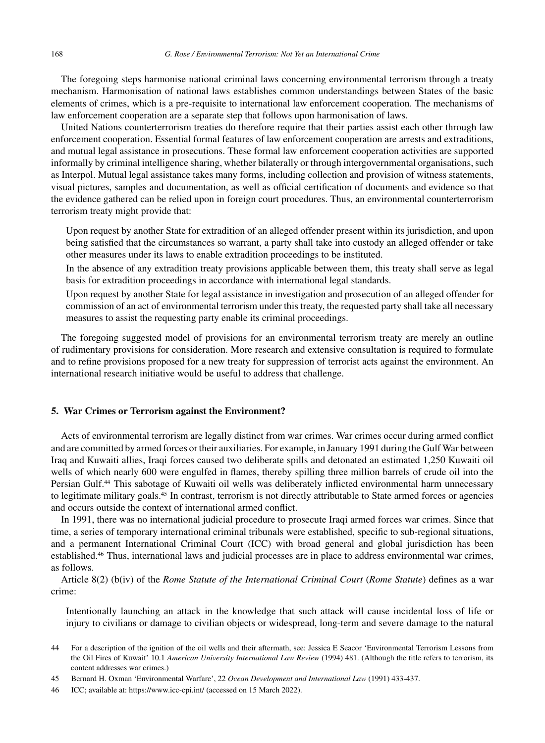The foregoing steps harmonise national criminal laws concerning environmental terrorism through a treaty mechanism. Harmonisation of national laws establishes common understandings between States of the basic elements of crimes, which is a pre-requisite to international law enforcement cooperation. The mechanisms of law enforcement cooperation are a separate step that follows upon harmonisation of laws.

United Nations counterterrorism treaties do therefore require that their parties assist each other through law enforcement cooperation. Essential formal features of law enforcement cooperation are arrests and extraditions, and mutual legal assistance in prosecutions. These formal law enforcement cooperation activities are supported informally by criminal intelligence sharing, whether bilaterally or through intergovernmental organisations, such as Interpol. Mutual legal assistance takes many forms, including collection and provision of witness statements, visual pictures, samples and documentation, as well as official certification of documents and evidence so that the evidence gathered can be relied upon in foreign court procedures. Thus, an environmental counterterrorism terrorism treaty might provide that:

Upon request by another State for extradition of an alleged offender present within its jurisdiction, and upon being satisfied that the circumstances so warrant, a party shall take into custody an alleged offender or take other measures under its laws to enable extradition proceedings to be instituted.

In the absence of any extradition treaty provisions applicable between them, this treaty shall serve as legal basis for extradition proceedings in accordance with international legal standards.

Upon request by another State for legal assistance in investigation and prosecution of an alleged offender for commission of an act of environmental terrorism under this treaty, the requested party shall take all necessary measures to assist the requesting party enable its criminal proceedings.

The foregoing suggested model of provisions for an environmental terrorism treaty are merely an outline of rudimentary provisions for consideration. More research and extensive consultation is required to formulate and to refine provisions proposed for a new treaty for suppression of terrorist acts against the environment. An international research initiative would be useful to address that challenge.

#### **5. War Crimes or Terrorism against the Environment?**

Acts of environmental terrorism are legally distinct from war crimes. War crimes occur during armed conflict and are committed by armed forces or their auxiliaries. For example, in January 1991 during the Gulf War between Iraq and Kuwaiti allies, Iraqi forces caused two deliberate spills and detonated an estimated 1,250 Kuwaiti oil wells of which nearly 600 were engulfed in flames, thereby spilling three million barrels of crude oil into the Persian Gulf.<sup>44</sup> This sabotage of Kuwaiti oil wells was deliberately inflicted environmental harm unnecessary to legitimate military goals.<sup>45</sup> In contrast, terrorism is not directly attributable to State armed forces or agencies and occurs outside the context of international armed conflict.

In 1991, there was no international judicial procedure to prosecute Iraqi armed forces war crimes. Since that time, a series of temporary international criminal tribunals were established, specific to sub-regional situations, and a permanent International Criminal Court (ICC) with broad general and global jurisdiction has been established.46 Thus, international laws and judicial processes are in place to address environmental war crimes, as follows.

Article 8(2) (b(iv) of the *Rome Statute of the International Criminal Court* (*Rome Statute*) defines as a war crime:

Intentionally launching an attack in the knowledge that such attack will cause incidental loss of life or injury to civilians or damage to civilian objects or widespread, long-term and severe damage to the natural

<sup>44</sup> For a description of the ignition of the oil wells and their aftermath, see: Jessica E Seacor 'Environmental Terrorism Lessons from the Oil Fires of Kuwait' 10.1 *American University International Law Review* (1994) 481. (Although the title refers to terrorism, its content addresses war crimes.)

<sup>45</sup> Bernard H. Oxman 'Environmental Warfare', 22 *Ocean Development and International Law* (1991) 433-437.

<sup>46</sup> ICC; available at:<https://www.icc-cpi.int/> (accessed on 15 March 2022).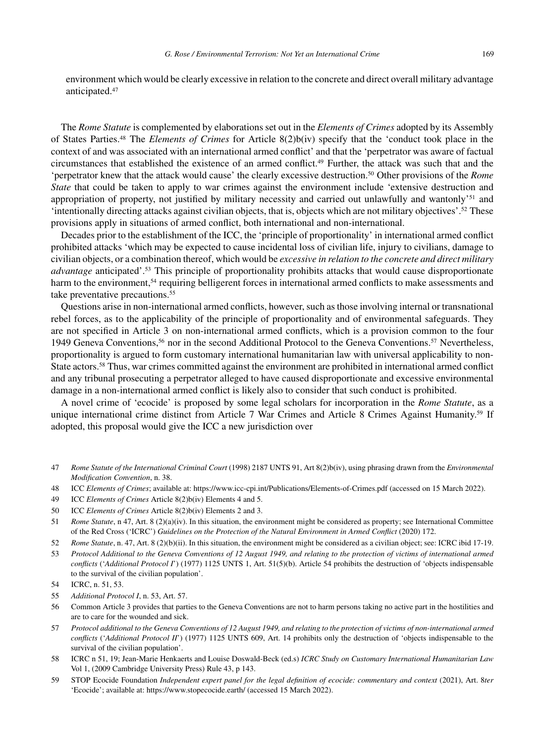environment which would be clearly excessive in relation to the concrete and direct overall military advantage anticipated.47

The *Rome Statute* is complemented by elaborations set out in the *Elements of Crimes* adopted by its Assembly of States Parties.48 The *Elements of Crimes* for Article 8(2)b(iv) specify that the 'conduct took place in the context of and was associated with an international armed conflict' and that the 'perpetrator was aware of factual circumstances that established the existence of an armed conflict.49 Further, the attack was such that and the 'perpetrator knew that the attack would cause' the clearly excessive destruction.50 Other provisions of the *Rome State* that could be taken to apply to war crimes against the environment include 'extensive destruction and appropriation of property, not justified by military necessity and carried out unlawfully and wantonly'51 and 'intentionally directing attacks against civilian objects, that is, objects which are not military objectives'.52 These provisions apply in situations of armed conflict, both international and non-international.

Decades prior to the establishment of the ICC, the 'principle of proportionality' in international armed conflict prohibited attacks 'which may be expected to cause incidental loss of civilian life, injury to civilians, damage to civilian objects, or a combination thereof, which would be *excessive in relation to the concrete and direct military advantage* anticipated'.53 This principle of proportionality prohibits attacks that would cause disproportionate harm to the environment,<sup>54</sup> requiring belligerent forces in international armed conflicts to make assessments and take preventative precautions.<sup>55</sup>

Questions arise in non-international armed conflicts, however, such as those involving internal or transnational rebel forces, as to the applicability of the principle of proportionality and of environmental safeguards. They are not specified in Article 3 on non-international armed conflicts, which is a provision common to the four 1949 Geneva Conventions,56 nor in the second Additional Protocol to the Geneva Conventions.57 Nevertheless, proportionality is argued to form customary international humanitarian law with universal applicability to non-State actors.58 Thus, war crimes committed against the environment are prohibited in international armed conflict and any tribunal prosecuting a perpetrator alleged to have caused disproportionate and excessive environmental damage in a non-international armed conflict is likely also to consider that such conduct is prohibited.

A novel crime of 'ecocide' is proposed by some legal scholars for incorporation in the *Rome Statute*, as a unique international crime distinct from Article 7 War Crimes and Article 8 Crimes Against Humanity.<sup>59</sup> If adopted, this proposal would give the ICC a new jurisdiction over

- 47 *Rome Statute of the International Criminal Court* (1998) 2187 UNTS 91, Art 8(2)b(iv), using phrasing drawn from the *Environmental Modification Convention*, n. 38.
- 48 ICC *Elements of Crimes*; available at:<https://www.icc-cpi.int/Publications/Elements-of-Crimes.pdf> (accessed on 15 March 2022).
- 49 ICC *Elements of Crimes* Article 8(2)b(iv) Elements 4 and 5.
- 50 ICC *Elements of Crimes* Article 8(2)b(iv) Elements 2 and 3.

- 52 *Rome Statute*, n. 47, Art. 8 (2)(b)(ii). In this situation, the environment might be considered as a civilian object; see: ICRC ibid 17-19.
- 53 *Protocol Additional to the Geneva Conventions of 12 August 1949, and relating to the protection of victims of international armed conflicts* ('*Additional Protocol I*') (1977) 1125 UNTS 1, Art. 51(5)(b). Article 54 prohibits the destruction of 'objects indispensable to the survival of the civilian population'.
- 54 ICRC, n. 51, 53.
- 55 *Additional Protocol I*, n. 53, Art. 57.
- 56 Common Article 3 provides that parties to the Geneva Conventions are not to harm persons taking no active part in the hostilities and are to care for the wounded and sick.
- 57 *Protocol additional to the Geneva Conventions of 12 August 1949, and relating to the protection of victims of non-international armed conflicts* ('*Additional Protocol II*') (1977) 1125 UNTS 609, Art. 14 prohibits only the destruction of 'objects indispensable to the survival of the civilian population'.
- 58 ICRC n 51, 19; Jean-Marie Henkaerts and Louise Doswald-Beck (ed.s) *ICRC Study on Customary International Humanitarian Law* Vol 1, (2009 Cambridge University Press) Rule 43, p 143.
- 59 STOP Ecocide Foundation *Independent expert panel for the legal definition of ecocide: commentary and context* (2021), Art. 8*ter* 'Ecocide'; available at:<https://www.stopecocide.earth/> (accessed 15 March 2022).

<sup>51</sup> *Rome Statute*, n 47, Art. 8 (2)(a)(iv). In this situation, the environment might be considered as property; see International Committee of the Red Cross ('ICRC') *Guidelines on the Protection of the Natural Environment in Armed Conflict* (2020) 172.